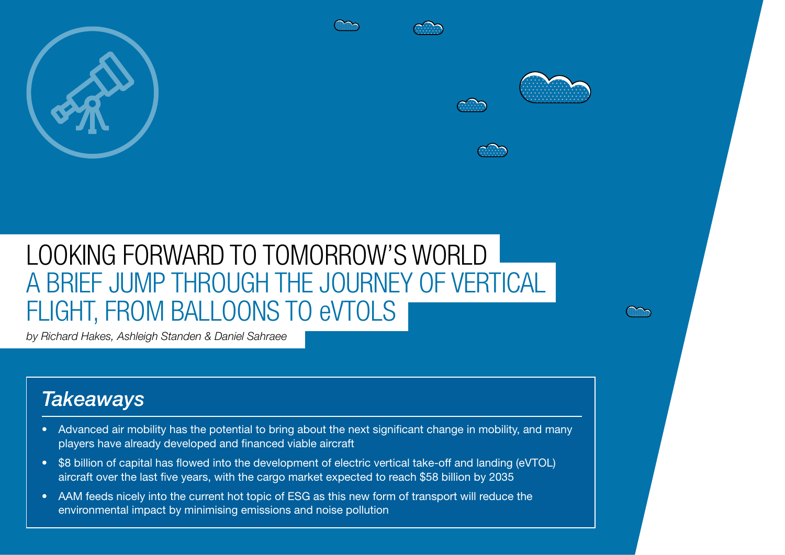

# LOOKING FORWARD TO TOMORROW'S WORLD A BRIEF JUMP THROUGH THE JOURNEY OF VERTICAL FLIGHT, FROM BALLOONS TO eVTOLS

*by Richard Hakes, Ashleigh Standen & Daniel Sahraee*

 $\mathcal{S}_{\mathcal{A}}$  and  $\mathcal{S}_{\mathcal{A}}$  are the sky is the sky is the limit of limit  $\mathcal{A}_{\mathcal{A}}$  is the limit of limit of limit  $\mathcal{A}_{\mathcal{A}}$ 

# *Takeaways*

- Advanced air mobility has the potential to bring about the next significant change in mobility, and many players have already developed and financed viable aircraft
- \$8 billion of capital has flowed into the development of electric vertical take-off and landing (eVTOL) aircraft over the last five years, with the cargo market expected to reach \$58 billion by 2035
- AAM feeds nicely into the current hot topic of ESG as this new form of transport will reduce the environmental impact by minimising emissions and noise pollution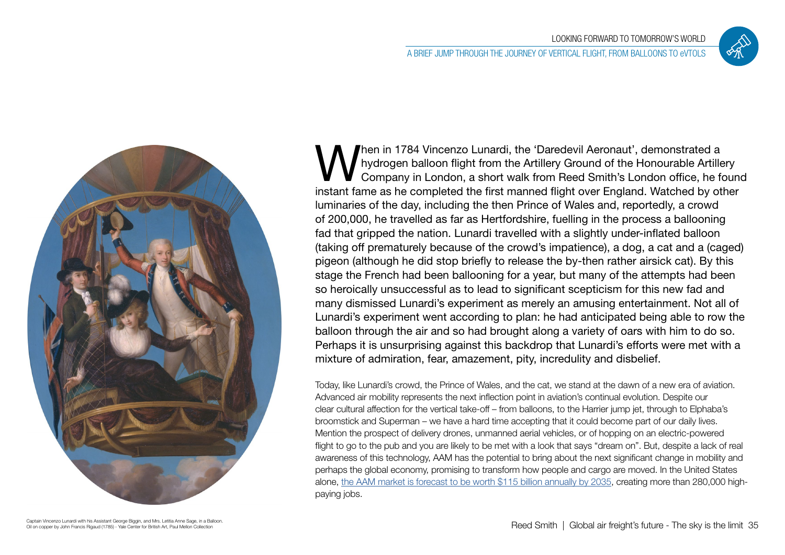



When in 1784 Vincenzo Lunardi, the 'Daredevil Aeronaut', demonstrated a hydrogen balloon flight from the Artillery Ground of the Honourable Artiller<br>Company in London, a short walk from Reed Smith's London office, he funda hydrogen balloon flight from the Artillery Ground of the Honourable Artillery Company in London, a short walk from Reed Smith's London office, he found instant fame as he completed the first manned flight over England. Watched by other luminaries of the day, including the then Prince of Wales and, reportedly, a crowd of 200,000, he travelled as far as Hertfordshire, fuelling in the process a ballooning fad that gripped the nation. Lunardi travelled with a slightly under-inflated balloon (taking off prematurely because of the crowd's impatience), a dog, a cat and a (caged) pigeon (although he did stop briefly to release the by-then rather airsick cat). By this stage the French had been ballooning for a year, but many of the attempts had been so heroically unsuccessful as to lead to significant scepticism for this new fad and many dismissed Lunardi's experiment as merely an amusing entertainment. Not all of Lunardi's experiment went according to plan: he had anticipated being able to row the balloon through the air and so had brought along a variety of oars with him to do so. Perhaps it is unsurprising against this backdrop that Lunardi's efforts were met with a mixture of admiration, fear, amazement, pity, incredulity and disbelief.

Today, like Lunardi's crowd, the Prince of Wales, and the cat, we stand at the dawn of a new era of aviation. Advanced air mobility represents the next inflection point in aviation's continual evolution. Despite our clear cultural affection for the vertical take-off – from balloons, to the Harrier jump jet, through to Elphaba's broomstick and Superman – we have a hard time accepting that it could become part of our daily lives. Mention the prospect of delivery drones, unmanned aerial vehicles, or of hopping on an electric-powered flight to go to the pub and you are likely to be met with a look that says "dream on". But, despite a lack of real awareness of this technology, AAM has the potential to bring about the next significant change in mobility and perhaps the global economy, promising to transform how people and cargo are moved. In the United States alone, [the AAM market is forecast to be worth \\$115 billion annually by 2035,](https://www2.deloitte.com/us/en/insights/industry/aerospace-defense/advanced-air-mobility.html/) creating more than 280,000 highpaying jobs.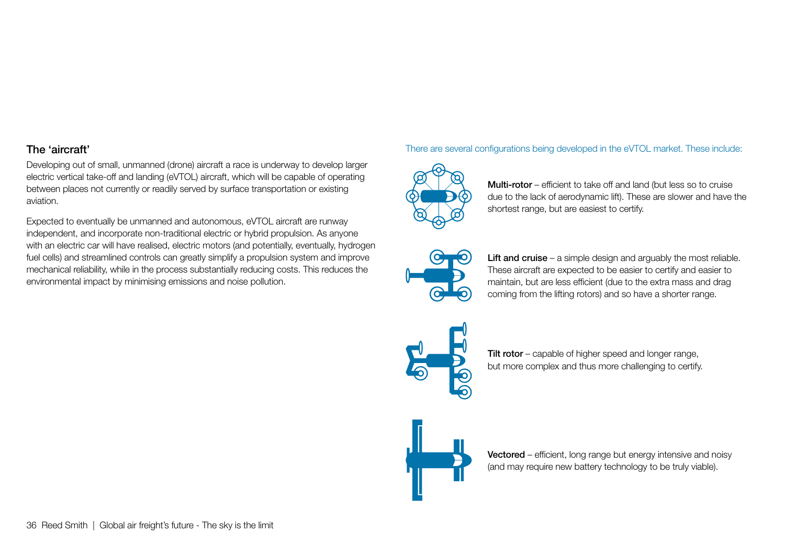# The 'aircraft'

Developing out of small, unmanned (drone) aircraft a race is underway to develop larger electric vertical take-off and landing (eVTOL) aircraft, which will be capable of operating between places not currently or readily served by surface transportation or existing aviation.

Expected to eventually be unmanned and autonomous, eVTOL aircraft are runway independent, and incorporate non-traditional electric or hybrid propulsion. As anyone with an electric car will have realised, electric motors (and potentially, eventually, hydrogen fuel cells) and streamlined controls can greatly simplify a propulsion system and improve mechanical reliability, while in the process substantially reducing costs. This reduces the environmental impact by minimising emissions and noise pollution.

#### There are several configurations being developed in the eVTOL market. These include:



Multi-rotor – efficient to take off and land (but less so to cruise due to the lack of aerodynamic lift). These are slower and have the shortest range, but are easiest to certify.



Lift and cruise – a simple design and arguably the most reliable. These aircraft are expected to be easier to certify and easier to maintain, but are less efficient (due to the extra mass and drag coming from the lifting rotors) and so have a shorter range.



Tilt rotor – capable of higher speed and longer range, but more complex and thus more challenging to certify.

Vectored – efficient, long range but energy intensive and noisy (and may require new battery technology to be truly viable).



36 Reed Smith | Global air freight's future - The sky is the limit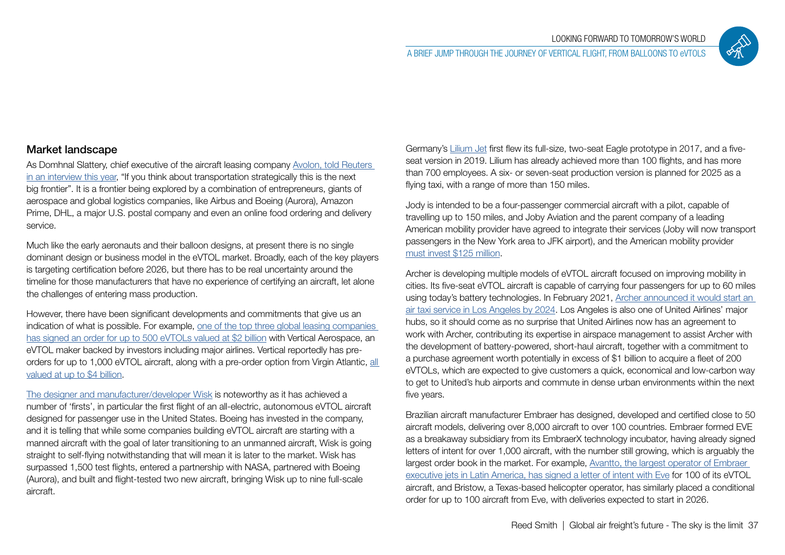

# Market landscape

As Domhnal Slattery, chief executive of the aircraft leasing company [Avolon, told Reuters](https://www.reuters.com/business/aerospace-defense/american-airlines-invest-electric-aircraft-maker-vertical-aerospace-2021-06-10/)  [in an interview this year,](https://www.reuters.com/business/aerospace-defense/american-airlines-invest-electric-aircraft-maker-vertical-aerospace-2021-06-10/) "If you think about transportation strategically this is the next big frontier". It is a frontier being explored by a combination of entrepreneurs, giants of aerospace and global logistics companies, like Airbus and Boeing (Aurora), Amazon Prime, DHL, a major U.S. postal company and even an online food ordering and delivery service.

Much like the early aeronauts and their balloon designs, at present there is no single dominant design or business model in the eVTOL market. Broadly, each of the key players is targeting certification before 2026, but there has to be real uncertainty around the timeline for those manufacturers that have no experience of certifying an aircraft, let alone the challenges of entering mass production.

However, there have been significant developments and commitments that give us an indication of what is possible. For example, one of the top three global leasing companie[s](https://avolon.aero/newsroom-and-thoughts/avolon-vertical-eurospace-announce-worlds-largest-evtol-aircraft-order) [has signed an order for up to 500 eVTOLs valued at \\$2 billion](https://avolon.aero/newsroom-and-thoughts/avolon-vertical-eurospace-announce-worlds-largest-evtol-aircraft-order) with Vertical Aerospace, an eVTOL maker backed by investors including major airlines. Vertical reportedly has preorders for up to 1,000 eVTOL aircraft, along with a pre-order option from Virgin Atlantic, [all](https://vertical-aerospace.com/vertical-aerospace-announces-intention-to-become-publicly-traded-company-via-merger-with-broadstone-acquisition-corp/)  [valued at up to \\$4 billion.](https://vertical-aerospace.com/vertical-aerospace-announces-intention-to-become-publicly-traded-company-via-merger-with-broadstone-acquisition-corp/)

[The designer and manufacturer/developer Wisk](https://evtol.com/features/wisk-autonomous-air-taxis-boeing-urban-air-mobility-play/) is noteworthy as it has achieved a number of 'firsts', in particular the first flight of an all-electric, autonomous eVTOL aircraft designed for passenger use in the United States. Boeing has invested in the company, and it is telling that while some companies building eVTOL aircraft are starting with a manned aircraft with the goal of later transitioning to an unmanned aircraft, Wisk is going straight to self-flying notwithstanding that will mean it is later to the market. Wisk has surpassed 1,500 test flights, entered a partnership with NASA, partnered with Boeing (Aurora), and built and flight-tested two new aircraft, bringing Wisk up to nine full-scale aircraft.

Germany's [Lilium Jet](https://lilium.com/company) first flew its full-size, two-seat Eagle prototype in 2017, and a fiveseat version in 2019. Lilium has already achieved more than 100 flights, and has more than 700 employees. A six- or seven-seat production version is planned for 2025 as a flying taxi, with a range of more than 150 miles.

Jody is intended to be a four-passenger commercial aircraft with a pilot, capable of travelling up to 150 miles, and Joby Aviation and the parent company of a leading American mobility provider have agreed to integrate their services (Joby will now transport passengers in the New York area to JFK airport), and the American mobility provider mus[t invest \\$125 million](https://www.jobyaviation.com/news/joby-aviation-welcomes-new-75m-investment-from-uber-as-it-acquires-uber-elevate-and-expands-partnership/).

Archer is developing multiple models of eVTOL aircraft focused on improving mobility in cities. Its five-seat eVTOL aircraft is capable of carrying four passengers for up to 60 miles using today's battery technologies. In February 2021, [Archer announced it would start an](https://www.bloomberg.com/news/articles/2021-06-11/electric-flying-taxi-backed-by-united-airlines-unveiled-in-l-a)  [air taxi service in Los Angeles by 2024.](https://www.bloomberg.com/news/articles/2021-06-11/electric-flying-taxi-backed-by-united-airlines-unveiled-in-l-a) Los Angeles is also one of United Airlines' major hubs, so it should come as no surprise that United Airlines now has an agreement to work with Archer, contributing its expertise in airspace management to assist Archer with the development of battery-powered, short-haul aircraft, together with a commitment to a purchase agreement worth potentially in excess of \$1 billion to acquire a fleet of 200 eVTOLs, which are expected to give customers a quick, economical and low-carbon way to get to United's hub airports and commute in dense urban environments within the next five years.

Brazilian aircraft manufacturer Embraer has designed, developed and certified close to 50 aircraft models, delivering over 8,000 aircraft to over 100 countries. Embraer formed EVE as a breakaway subsidiary from its EmbraerX technology incubator, having already signed letters of intent for over 1,000 aircraft, with the number still growing, which is arguably the largest order book in the market. For example, [Avantto, the largest operator of Embraer](https://eveairmobility.com/eve-and-avantto-to-develop-urban-air-mobility-uam-operations-in-brazil-and-latin-americaeve-and-avantto-to-develop-urban-air-mobility-uam-operations-in-brazil-and-latin-america/)  [executive jets in Latin America, has signed a letter of intent with Eve](https://eveairmobility.com/eve-and-avantto-to-develop-urban-air-mobility-uam-operations-in-brazil-and-latin-americaeve-and-avantto-to-develop-urban-air-mobility-uam-operations-in-brazil-and-latin-america/) for 100 of its eVTOL aircraft, and Bristow, a Texas-based helicopter operator, has similarly placed a conditional order for up to 100 aircraft from Eve, with deliveries expected to start in 2026.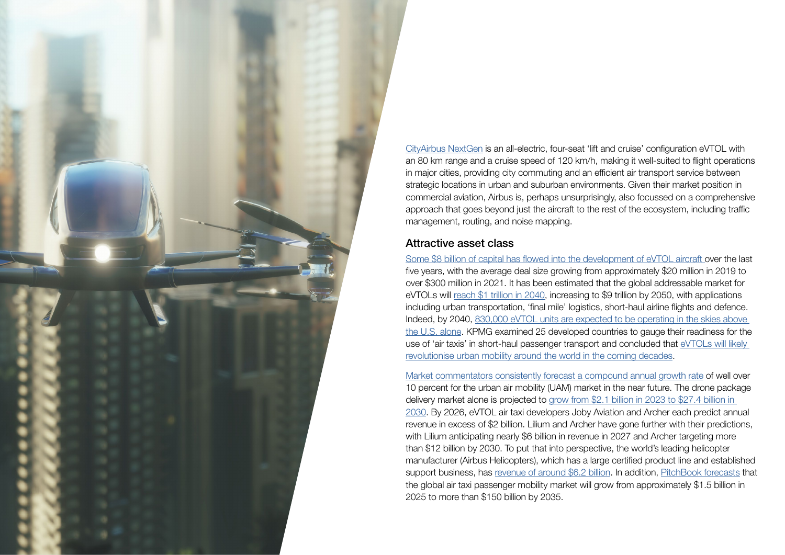

[CityAirbus NextGen](https://www.airbus.com/en/innovation/zero-emission/urban-air-mobility/cityairbus-nextgen) is an all-electric, four-seat 'lift and cruise' configuration eVTOL with an 80 km range and a cruise speed of 120 km/h, making it well-suited to flight operations in major cities, providing city commuting and an efficient air transport service between strategic locations in urban and suburban environments. Given their market position in commercial aviation, Airbus is, perhaps unsurprisingly, also focussed on a comprehensive approach that goes beyond just the aircraft to the rest of the ecosystem, including traffic management, routing, and noise mapping.

#### Attractive asset class

[Some \\$8 billion of capital has flowed into the development of eVTOL aircraft o](https://www.mckinsey.com/industries/aerospace-and-defense/our-insights/future-air-mobility-blog/looking-to-the-skies-funding-for-future-air-mobility-takes-off)ver the last five years, with the average deal size growing from approximately \$20 million in 2019 to over \$300 million in 2021. It has been estimated that the global addressable market for eVTOLs will [reach \\$1 trillion in 2040](https://advisor.morganstanley.com/the-busot-group/documents/field/b/bu/busot-group/Electric Vehicles.pdf), increasing to \$9 trillion by 2050, with applications including urban transportation, 'final mile' logistics, short-haul airline flights and defence. Indeed, by 2040, [830,000 eVTOL units are expected to be operating in the skies above](https://advisor.morganstanley.com/the-busot-group/documents/field/b/bu/busot-group/Electric Vehicles.pdf)  [the U.S. alone.](https://advisor.morganstanley.com/the-busot-group/documents/field/b/bu/busot-group/Electric Vehicles.pdf) KPMG examined 25 developed countries to gauge their readiness for the use of 'air taxis' in short-haul passenger transport and concluded that [eVTOLs will likely](https://home.kpmg/ie/en/home/insights/2021/10/aviation-2030-air-taxi-readiness.html)  [revolutionise urban mobility around the world in the coming decades](https://home.kpmg/ie/en/home/insights/2021/10/aviation-2030-air-taxi-readiness.html).

[Market commentators consistently forecast a compound annual growth rate](https://www.marketsandmarkets.com/Market-Reports/urban-air-mobility-market-251142860.html) of well over 10 percent for the urban air mobility (UAM) market in the near future. The drone package delivery market alone is projected to [grow from \\$2.1 billion in 2023 to \\$27.4 billion in](https://www.bloomberg.com/press-releases/2019-12-05/drone-package-delivery-market-worth-27-4-billion-by-2030-exclusive-report-by-marketsandmarkets)  [2030.](https://www.bloomberg.com/press-releases/2019-12-05/drone-package-delivery-market-worth-27-4-billion-by-2030-exclusive-report-by-marketsandmarkets) By 2026, eVTOL air taxi developers Joby Aviation and Archer each predict annual revenue in excess of \$2 billion. Lilium and Archer have gone further with their predictions, with Lilium anticipating nearly \$6 billion in revenue in 2027 and Archer targeting more than \$12 billion by 2030. To put that into perspective, the world's leading helicopter manufacturer (Airbus Helicopters), which has a large certified product line and established support business, has [revenue of around \\$6.2 billion.](https://www.airbus.com/en/newsroom/press-releases/2021-02-airbus-reports-full-year-fy-2020-results) In addition, [PitchBook forecasts](https://pitchbook.com/blog/from-evtols-to-air-taxisa-closer-look-at-passenger-air-mobility) that the global air taxi passenger mobility market will grow from approximately \$1.5 billion in 2025 to more than \$150 billion by 2035.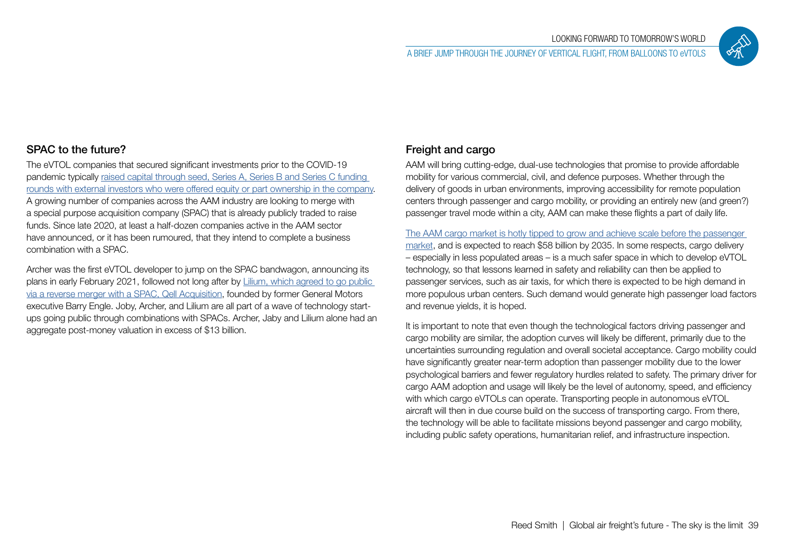

# SPAC to the future?

The eVTOL companies that secured significant investments prior to the COVID-19 pandemic typically [raised capital through seed, Series A, Series B and Series C funding](https://evtol.news/news/financing-the-electric-vtol-revolution)  [rounds with external investors who were offered equity or part ownership in the company.](https://evtol.news/news/financing-the-electric-vtol-revolution) A growing number of companies across the AAM industry are looking to merge with a special purpose acquisition company (SPAC) that is already publicly traded to raise funds. Since late 2020, at least a half-dozen companies active in the AAM sector have announced, or it has been rumoured, that they intend to complete a business combination with a SPAC.

Archer was the first eVTOL developer to jump on the SPAC bandwagon, announcing its plans in early February 2021, followed not long after by [Lilium, which agreed to go public](https://lilium.com/newsroom-detail/lilium-closes-business-combination-with-qell-begin-trading-on-nasdaq-under-lilm)  [via a reverse merger with a SPAC, Qell Acquisition](https://lilium.com/newsroom-detail/lilium-closes-business-combination-with-qell-begin-trading-on-nasdaq-under-lilm), founded by former General Motors executive Barry Engle. Joby, Archer, and Lilium are all part of a wave of technology startups going public through combinations with SPACs. Archer, Jaby and Lilium alone had an aggregate post-money valuation in excess of \$13 billion.

# Freight and cargo

AAM will bring cutting-edge, dual-use technologies that promise to provide affordable mobility for various commercial, civil, and defence purposes. Whether through the delivery of goods in urban environments, improving accessibility for remote population centers through passenger and cargo mobility, or providing an entirely new (and green?) passenger travel mode within a city, AAM can make these flights a part of daily life.

[The AAM cargo market is hotly tipped to grow and achieve scale before the passenger](https://www2.deloitte.com/us/en/insights/industry/aerospace-defense/advanced-air-mobility.html/#endnote-sup-6)  [market](https://www2.deloitte.com/us/en/insights/industry/aerospace-defense/advanced-air-mobility.html/#endnote-sup-6), and is expected to reach \$58 billion by 2035. In some respects, cargo delivery – especially in less populated areas – is a much safer space in which to develop eVTOL technology, so that lessons learned in safety and reliability can then be applied to passenger services, such as air taxis, for which there is expected to be high demand in more populous urban centers. Such demand would generate high passenger load factors and revenue yields, it is hoped.

It is important to note that even though the technological factors driving passenger and cargo mobility are similar, the adoption curves will likely be different, primarily due to the uncertainties surrounding regulation and overall societal acceptance. Cargo mobility could have significantly greater near-term adoption than passenger mobility due to the lower psychological barriers and fewer regulatory hurdles related to safety. The primary driver for cargo AAM adoption and usage will likely be the level of autonomy, speed, and efficiency with which cargo eVTOLs can operate. Transporting people in autonomous eVTOL aircraft will then in due course build on the success of transporting cargo. From there, the technology will be able to facilitate missions beyond passenger and cargo mobility, including public safety operations, humanitarian relief, and infrastructure inspection.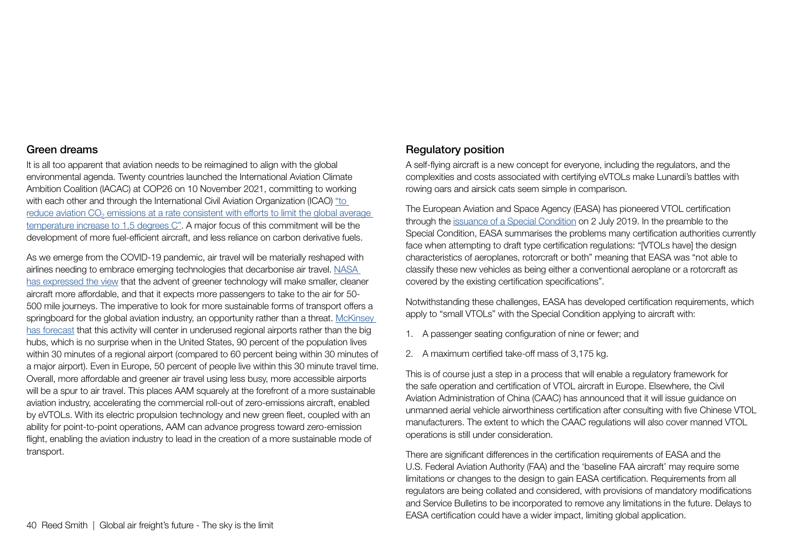#### Green dreams

It is all too apparent that aviation needs to be reimagined to align with the global environmental agenda. Twenty countries launched the International Aviation Climate Ambition Coalition (IACAC) at COP26 on 10 November 2021, committing to working with each other and through the International Civil Aviation Organization (ICAO) "to reduce aviation CO<sub>2</sub> emissions at a rate consistent with efforts to limit the global average [temperature increase to 1.5 degrees C"](https://cleanenergynews.ihsmarkit.com/research-analysis/cop26-nations-come-together-to-promote-aviation-decarbonization.html). A major focus of this commitment will be the development of more fuel-efficient aircraft, and less reliance on carbon derivative fuels.

As we emerge from the COVID-19 pandemic, air travel will be materially reshaped with airlines needing to embrace emerging technologies that decarbonise air travel. [NASA](https://sacd.larc.nasa.gov/sacd/wp-content/uploads/sites/102/2021/04/2021-04-20-RAM.pdf)  [has expressed the view](https://sacd.larc.nasa.gov/sacd/wp-content/uploads/sites/102/2021/04/2021-04-20-RAM.pdf) that the advent of greener technology will make smaller, cleaner aircraft more affordable, and that it expects more passengers to take to the air for 50- 500 mile journeys. The imperative to look for more sustainable forms of transport offers a springboard for the global aviation industry, an opportunity rather than a threat. McKinsey [has forecast](https://www.mckinsey.com/industries/aerospace-and-defense/our-insights/future-air-mobility-blog/reducing-aviation-emissions-over-the-long-and-short-haul) that this activity will center in underused regional airports rather than the big hubs, which is no surprise when in the United States, 90 percent of the population lives within 30 minutes of a regional airport (compared to 60 percent being within 30 minutes of a major airport). Even in Europe, 50 percent of people live within this 30 minute travel time. Overall, more affordable and greener air travel using less busy, more accessible airports will be a spur to air travel. This places AAM squarely at the forefront of a more sustainable aviation industry, accelerating the commercial roll-out of zero-emissions aircraft, enabled by eVTOLs. With its electric propulsion technology and new green fleet, coupled with an ability for point-to-point operations, AAM can advance progress toward zero-emission flight, enabling the aviation industry to lead in the creation of a more sustainable mode of transport.

# Regulatory position

A self-flying aircraft is a new concept for everyone, including the regulators, and the complexities and costs associated with certifying eVTOLs make Lunardi's battles with rowing oars and airsick cats seem simple in comparison.

The European Aviation and Space Agency (EASA) has pioneered VTOL certification through the [issuance of a Special Condition](https://www.easa.europa.eu/sites/default/files/dfu/SC-VTOL-01.pdf) on 2 July 2019. In the preamble to the Special Condition, EASA summarises the problems many certification authorities currently face when attempting to draft type certification regulations: "[VTOLs have] the design characteristics of aeroplanes, rotorcraft or both" meaning that EASA was "not able to classify these new vehicles as being either a conventional aeroplane or a rotorcraft as covered by the existing certification specifications".

Notwithstanding these challenges, EASA has developed certification requirements, which apply to "small VTOLs" with the Special Condition applying to aircraft with:

- 1. A passenger seating configuration of nine or fewer; and
- 2. A maximum certified take-off mass of 3,175 kg.

This is of course just a step in a process that will enable a regulatory framework for the safe operation and certification of VTOL aircraft in Europe. Elsewhere, the Civil Aviation Administration of China (CAAC) has announced that it will issue guidance on unmanned aerial vehicle airworthiness certification after consulting with five Chinese VTOL manufacturers. The extent to which the CAAC regulations will also cover manned VTOL operations is still under consideration.

There are significant differences in the certification requirements of EASA and the U.S. Federal Aviation Authority (FAA) and the 'baseline FAA aircraft' may require some limitations or changes to the design to gain EASA certification. Requirements from all regulators are being collated and considered, with provisions of mandatory modifications and Service Bulletins to be incorporated to remove any limitations in the future. Delays to EASA certification could have a wider impact, limiting global application.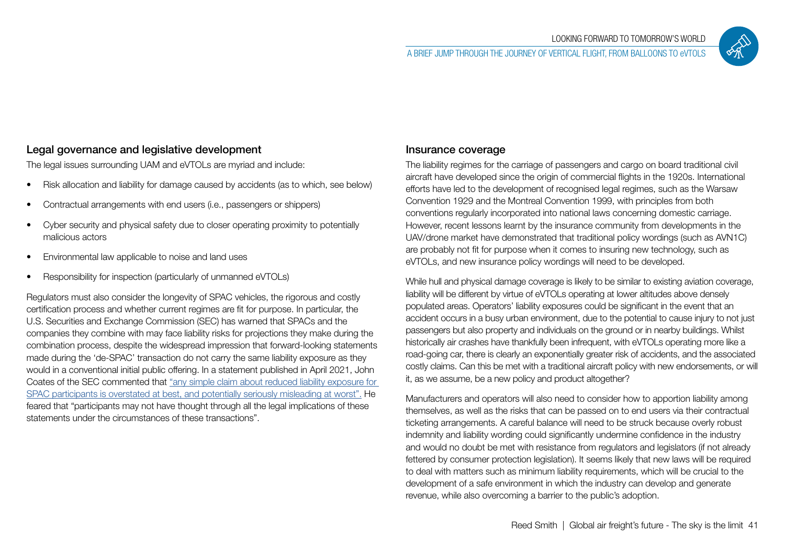

# Legal governance and legislative development

The legal issues surrounding UAM and eVTOLs are myriad and include:

- Risk allocation and liability for damage caused by accidents (as to which, see below)
- Contractual arrangements with end users (i.e., passengers or shippers)
- Cyber security and physical safety due to closer operating proximity to potentially malicious actors
- Environmental law applicable to noise and land uses
- Responsibility for inspection (particularly of unmanned eVTOLs)

Regulators must also consider the longevity of SPAC vehicles, the rigorous and costly certification process and whether current regimes are fit for purpose. In particular, the U.S. Securities and Exchange Commission (SEC) has warned that SPACs and the companies they combine with may face liability risks for projections they make during the combination process, despite the widespread impression that forward-looking statements made during the 'de-SPAC' transaction do not carry the same liability exposure as they would in a conventional initial public offering. In a statement published in April 2021, John Coates of the SEC commented that ["any simple claim about reduced liability exposure for](https://www.sec.gov/news/public-statement/spacs-ipos-liability-risk-under-securities-laws)  [SPAC participants is overstated at best, and potentially seriously misleading at worst".](https://www.sec.gov/news/public-statement/spacs-ipos-liability-risk-under-securities-laws) He feared that "participants may not have thought through all the legal implications of these statements under the circumstances of these transactions".

# Insurance coverage

The liability regimes for the carriage of passengers and cargo on board traditional civil aircraft have developed since the origin of commercial flights in the 1920s. International efforts have led to the development of recognised legal regimes, such as the Warsaw Convention 1929 and the Montreal Convention 1999, with principles from both conventions regularly incorporated into national laws concerning domestic carriage. However, recent lessons learnt by the insurance community from developments in the UAV/drone market have demonstrated that traditional policy wordings (such as AVN1C) are probably not fit for purpose when it comes to insuring new technology, such as eVTOLs, and new insurance policy wordings will need to be developed.

While hull and physical damage coverage is likely to be similar to existing aviation coverage, liability will be different by virtue of eVTOLs operating at lower altitudes above densely populated areas. Operators' liability exposures could be significant in the event that an accident occurs in a busy urban environment, due to the potential to cause injury to not just passengers but also property and individuals on the ground or in nearby buildings. Whilst historically air crashes have thankfully been infrequent, with eVTOLs operating more like a road-going car, there is clearly an exponentially greater risk of accidents, and the associated costly claims. Can this be met with a traditional aircraft policy with new endorsements, or will it, as we assume, be a new policy and product altogether?

Manufacturers and operators will also need to consider how to apportion liability among themselves, as well as the risks that can be passed on to end users via their contractual ticketing arrangements. A careful balance will need to be struck because overly robust indemnity and liability wording could significantly undermine confidence in the industry and would no doubt be met with resistance from regulators and legislators (if not already fettered by consumer protection legislation). It seems likely that new laws will be required to deal with matters such as minimum liability requirements, which will be crucial to the development of a safe environment in which the industry can develop and generate revenue, while also overcoming a barrier to the public's adoption.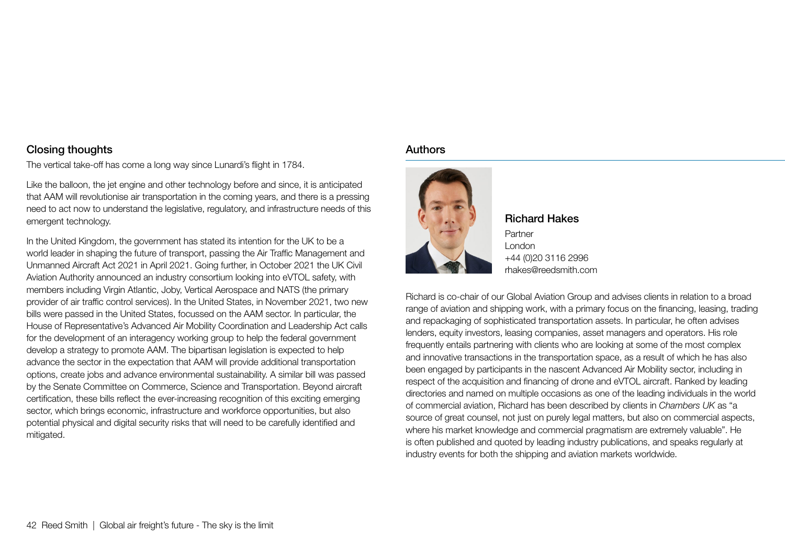## Closing thoughts

The vertical take-off has come a long way since Lunardi's flight in 1784.

Like the balloon, the jet engine and other technology before and since, it is anticipated that AAM will revolutionise air transportation in the coming years, and there is a pressing need to act now to understand the legislative, regulatory, and infrastructure needs of this emergent technology.

In the United Kingdom, the government has stated its intention for the UK to be a world leader in shaping the future of transport, passing the Air Traffic Management and Unmanned Aircraft Act 2021 in April 2021. Going further, in October 2021 the UK Civil Aviation Authority announced an industry consortium looking into eVTOL safety, with members including Virgin Atlantic, Joby, Vertical Aerospace and NATS (the primary provider of air traffic control services). In the United States, in November 2021, two new bills were passed in the United States, focussed on the AAM sector. In particular, the House of Representative's Advanced Air Mobility Coordination and Leadership Act calls for the development of an interagency working group to help the federal government develop a strategy to promote AAM. The bipartisan legislation is expected to help advance the sector in the expectation that AAM will provide additional transportation options, create jobs and advance environmental sustainability. A similar bill was passed by the Senate Committee on Commerce, Science and Transportation. Beyond aircraft certification, these bills reflect the ever-increasing recognition of this exciting emerging sector, which brings economic, infrastructure and workforce opportunities, but also potential physical and digital security risks that will need to be carefully identified and mitigated.

#### **Authors**



Richard Hakes Partner London +44 (0)20 3116 2996 rhakes@reedsmith.com

Richard is co-chair of our Global Aviation Group and advises clients in relation to a broad range of aviation and shipping work, with a primary focus on the financing, leasing, trading and repackaging of sophisticated transportation assets. In particular, he often advises lenders, equity investors, leasing companies, asset managers and operators. His role frequently entails partnering with clients who are looking at some of the most complex and innovative transactions in the transportation space, as a result of which he has also been engaged by participants in the nascent Advanced Air Mobility sector, including in respect of the acquisition and financing of drone and eVTOL aircraft. Ranked by leading directories and named on multiple occasions as one of the leading individuals in the world of commercial aviation, Richard has been described by clients in *Chambers UK* as "a source of great counsel, not just on purely legal matters, but also on commercial aspects, where his market knowledge and commercial pragmatism are extremely valuable". He is often published and quoted by leading industry publications, and speaks regularly at industry events for both the shipping and aviation markets worldwide.